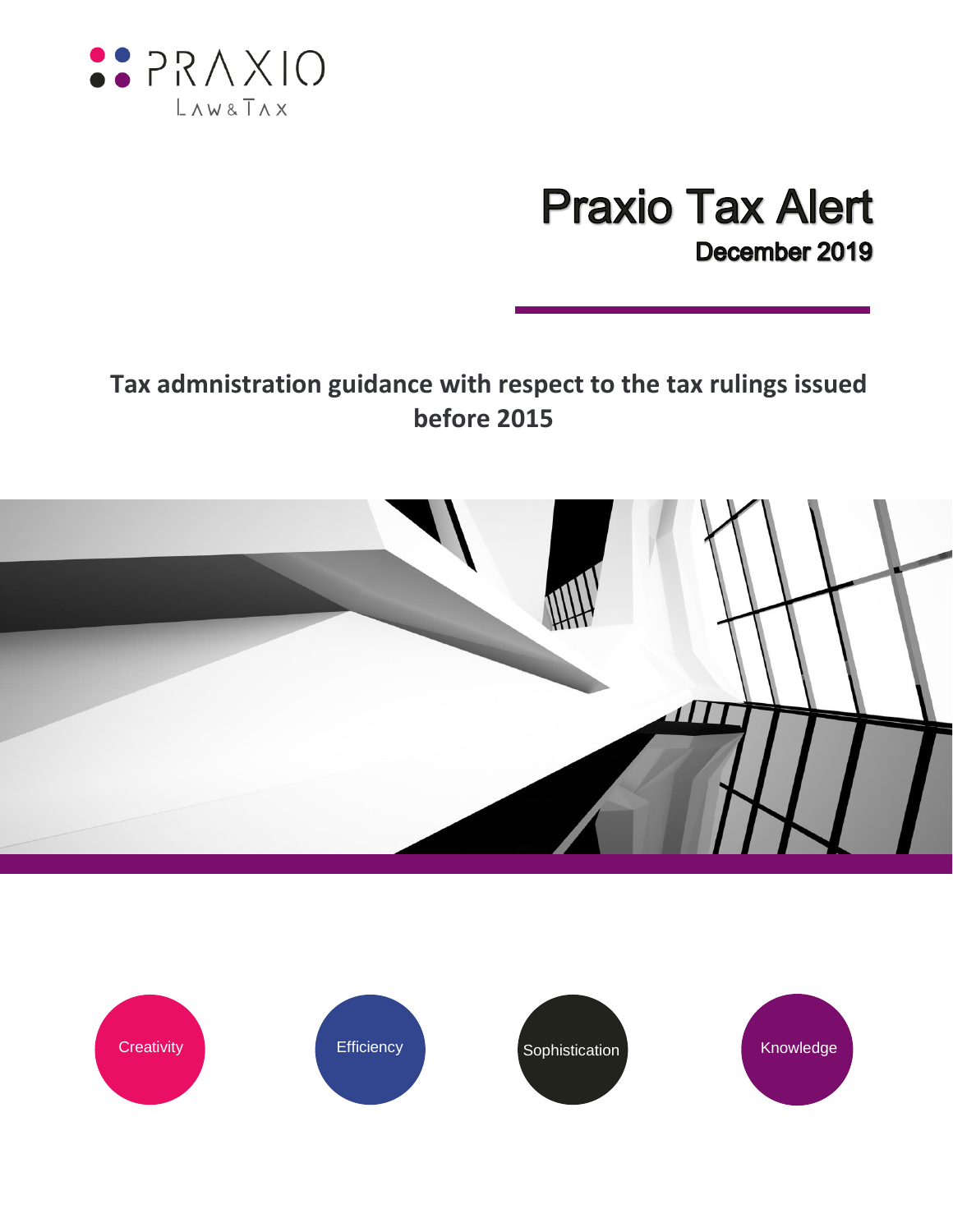

# **Praxio Tax Alert** December 2019

## **Tax admnistration guidance with respect to the tax rulings issued before 2015**



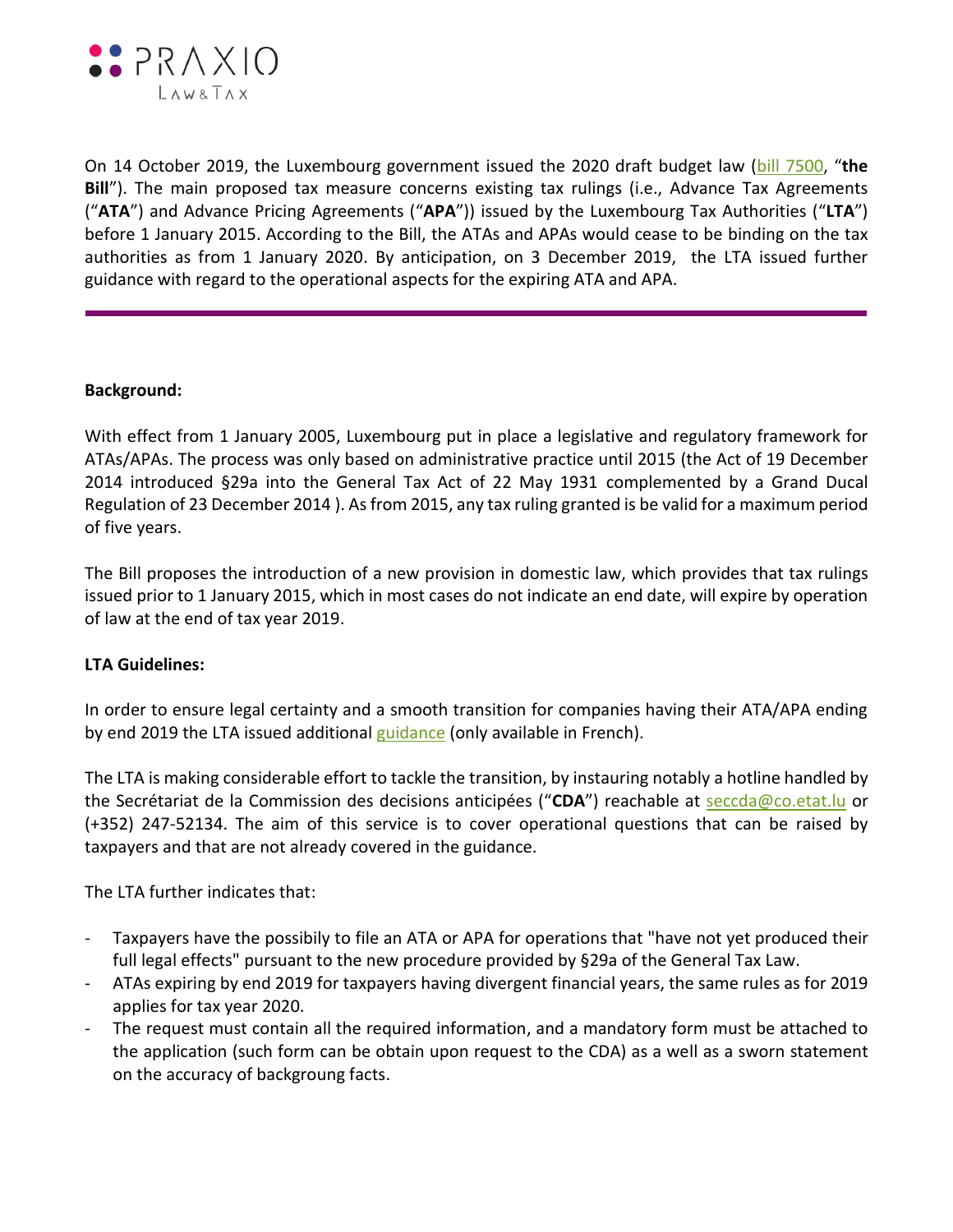

On 14 October 2019, the Luxembourg government issued the 2020 draft budget law [\(bill 7500](https://www.chd.lu/wps/portal/public/Accueil/TravailALaChambre/Recherche/RoleDesAffaires/!ut/p/z1/ldDBDoIwDAbgZ-EJVjoYchwgzcBo2LKBuxhOhETRg_H5NcSDekDtrcn3_2nKPOuYn_rbOPTX8Tz1x8e-9-KAUDpXIkltEUFS7IxWgkMdsnYG8DYSMo0ZB6AdMv9__rXpt_wC8Mv1LfMzKbBwWkUIqzxFUNRs6jyMgQz_BJQ0EWC1rhJrtpxS8QRLP_h2xeVkbQejGmQQ3AFRPgV6/), "**the Bill**"). The main proposed tax measure concerns existing tax rulings (i.e., Advance Tax Agreements ("**ATA**") and Advance Pricing Agreements ("**APA**")) issued by the Luxembourg Tax Authorities ("**LTA**") before 1 January 2015. According to the Bill, the ATAs and APAs would cease to be binding on the tax authorities as from 1 January 2020. By anticipation, on 3 December 2019, the LTA issued further guidance with regard to the operational aspects for the expiring ATA and APA.

### **Background:**

With effect from 1 January 2005, Luxembourg put in place a legislative and regulatory framework for ATAs/APAs. The process was only based on administrative practice until 2015 (the Act of 19 December 2014 introduced §29a into the General Tax Act of 22 May 1931 complemented by a Grand Ducal Regulation of 23 December 2014 ). As from 2015, any tax ruling granted is be valid for a maximum period of five years.

The Bill proposes the introduction of a new provision in domestic law, which provides that tax rulings issued prior to 1 January 2015, which in most cases do not indicate an end date, will expire by operation of law at the end of tax year 2019.

#### **LTA Guidelines:**

In order to ensure legal certainty and a smooth transition for companies having their ATA/APA ending by end 2019 the LTA issued additional [guidance](https://impotsdirects.public.lu/fr/archive/newsletter/2019/nl03122019.html) (only available in French).

The LTA is making considerable effort to tackle the transition, by instauring notably a hotline handled by the Secrétariat de la Commission des decisions anticipées ("**CDA**") reachable at [seccda@co.etat.lu](mailto:seccda@co.etat.lu) or (+352) 247-52134. The aim of this service is to cover operational questions that can be raised by taxpayers and that are not already covered in the guidance.

The LTA further indicates that:

- Taxpayers have the possibily to file an ATA or APA for operations that "have not yet produced their full legal effects" pursuant to the new procedure provided by §29a of the General Tax Law.
- ATAs expiring by end 2019 for taxpayers having divergent financial years, the same rules as for 2019 applies for tax year 2020.
- The request must contain all the required information, and a mandatory form must be attached to the application (such form can be obtain upon request to the CDA) as a well as a sworn statement on the accuracy of backgroung facts.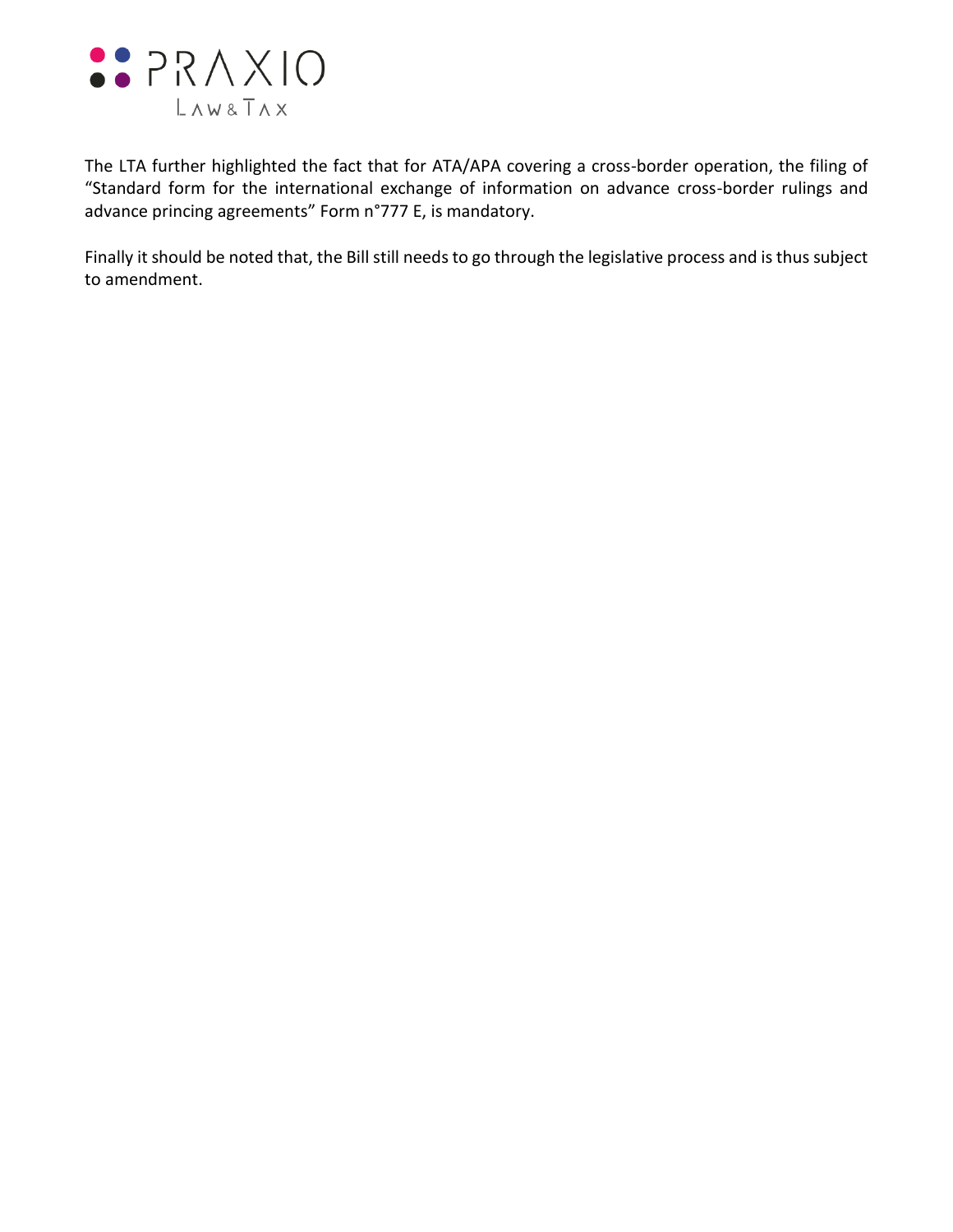

The LTA further highlighted the fact that for ATA/APA covering a cross-border operation, the filing of "Standard form for the international exchange of information on advance cross-border rulings and advance princing agreements" Form n°777 E, is mandatory.

Finally it should be noted that, the Bill still needs to go through the legislative process and is thus subject to amendment.